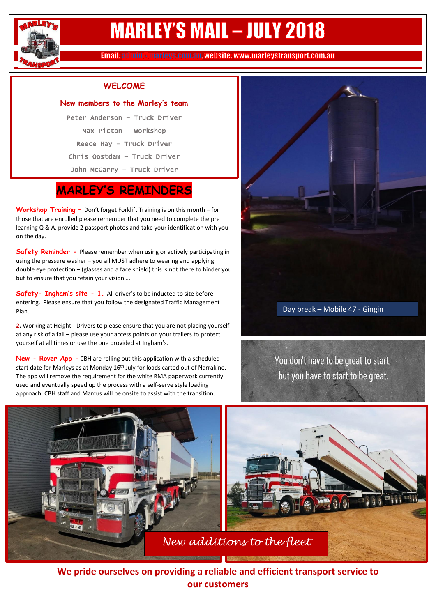

## **MARLEY'S MAIL - JULY 2018**

Email: admin @marleys.com.au, website: www.marleystransport.com.au

#### **WELCOME**

#### **New members to the Marley's team**

Peter Anderson – Truck Driver Max Picton – Workshop Reece Hay – Truck Driver Chris Oostdam – Truck Driver John McGarry – Truck Driver

### **MARLEY'S REMINDERS**

**Workshop Training –** Don't forget Forklift Training is on this month – for those that are enrolled please remember that you need to complete the pre learning Q & A, provide 2 passport photos and take your identification with you on the day.

**Safety Reminder -** Please remember when using or actively participating in using the pressure washer – you all MUST adhere to wearing and applying double eye protection – (glasses and a face shield) this is not there to hinder you but to ensure that you retain your vision….

**Safety- Ingham's site - 1.** All driver's to be inducted to site before entering. Please ensure that you follow the designated Traffic Management Plan.

**2.** Working at Height - Drivers to please ensure that you are not placing yourself at any risk of a fall – please use your access points on your trailers to protect yourself at all times or use the one provided at Ingham's.

**New - Rover App -** CBH are rolling out this application with a scheduled start date for Marleys as at Monday 16<sup>th</sup> July for loads carted out of Narrakine. The app will remove the requirement for the white RMA paperwork currently used and eventually speed up the process with a self-serve style loading approach. CBH staff and Marcus will be onsite to assist with the transition.



#### Day break – Mobile 47 - Gingin

You don't have to be great to start, but you have to start to be great.



**We pride ourselves on providing a reliable and efficient transport service to our customers**